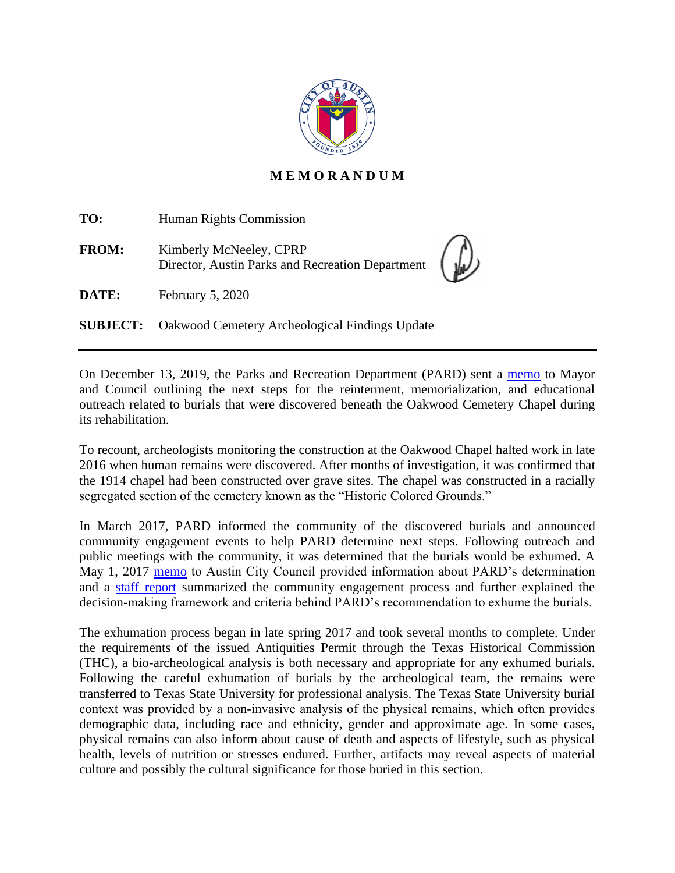

## **M E M O R A N D U M**

| TO:          | Human Rights Commission                                                     |  |
|--------------|-----------------------------------------------------------------------------|--|
| <b>FROM:</b> | Kimberly McNeeley, CPRP<br>Director, Austin Parks and Recreation Department |  |
| DATE:        | February 5, 2020                                                            |  |
|              | <b>SUBJECT:</b> Oakwood Cemetery Archeological Findings Update              |  |

On December 13, 2019, the Parks and Recreation Department (PARD) sent a [memo](http://www.austintexas.gov/edims/pio/document.cfm?id=332920) to Mayor and Council outlining the next steps for the reinterment, memorialization, and educational outreach related to burials that were discovered beneath the Oakwood Cemetery Chapel during its rehabilitation.

To recount, archeologists monitoring the construction at the Oakwood Chapel halted work in late 2016 when human remains were discovered. After months of investigation, it was confirmed that the 1914 chapel had been constructed over grave sites. The chapel was constructed in a racially segregated section of the cemetery known as the "Historic Colored Grounds."

In March 2017, PARD informed the community of the discovered burials and announced community engagement events to help PARD determine next steps. Following outreach and public meetings with the community, it was determined that the burials would be exhumed. A May 1, 2017 [memo](https://www.austintexas.gov/edims/pio/document.cfm?id=276185) to Austin City Council provided information about PARD's determination and a [staff report](https://www.austintexas.gov/sites/default/files/files/Parks/Planning_and_Development/172704_FINAL_BINDER_OakwoodStaffReport.pdf) summarized the community engagement process and further explained the decision-making framework and criteria behind PARD's recommendation to exhume the burials.

The exhumation process began in late spring 2017 and took several months to complete. Under the requirements of the issued Antiquities Permit through the Texas Historical Commission (THC), a bio-archeological analysis is both necessary and appropriate for any exhumed burials. Following the careful exhumation of burials by the archeological team, the remains were transferred to Texas State University for professional analysis. The Texas State University burial context was provided by a non‐invasive analysis of the physical remains, which often provides demographic data, including race and ethnicity, gender and approximate age. In some cases, physical remains can also inform about cause of death and aspects of lifestyle, such as physical health, levels of nutrition or stresses endured. Further, artifacts may reveal aspects of material culture and possibly the cultural significance for those buried in this section.